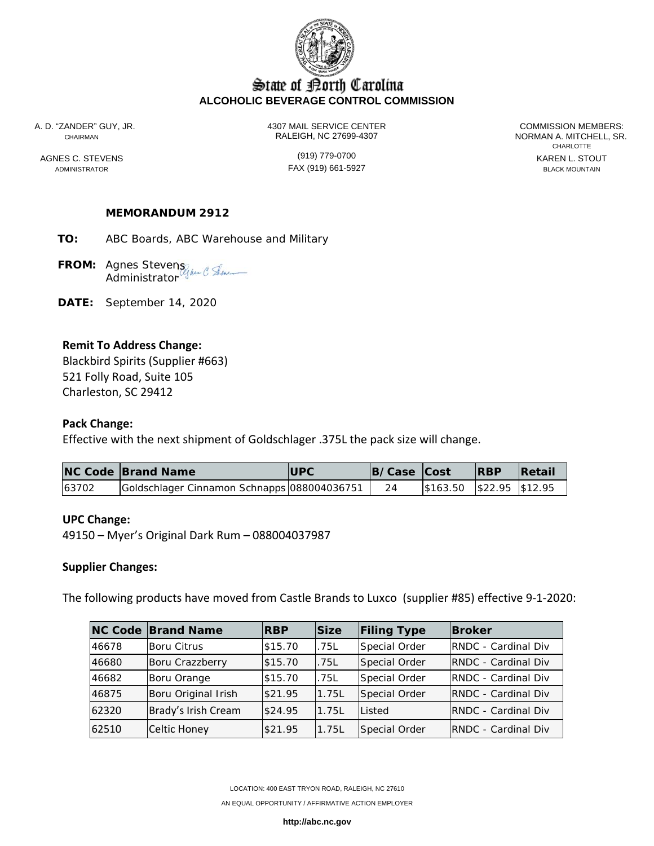

# State of Borth Carolina **ALCOHOLIC BEVERAGE CONTROL COMMISSION**

A. D. "ZANDER" GUY, JR. 4307 MAIL SERVICE CENTER COMMISSION MEMBERS: CHAIRMAN RALEIGH, NC 27699-4307 NORMAN A. MITCHELL, SR.

ADMINISTRATOR FAX (919) 661-5927 BLACK MOUNTAIN

**CHARLOTTE** AGNES C. STEVENS **AGNES CONSUMED A CONSUMING THE CONSUMING CONSUMING A CONSUMING CONSUMING CONSUMING CONSUMING CONSUMING CONSUMING CONSUMING CONSUMING CONSUMING CONSUMING CONSUMING CONSUMING CONSUMING CONSUMING CONSUMING C** 

### **MEMORANDUM 2912**

**TO:** ABC Boards, ABC Warehouse and Military

**FROM:** Agnes Stevens **Administrator** 

**DATE:** September 14, 2020

## **Remit To Address Change:**

Blackbird Spirits (Supplier #663) 521 Folly Road, Suite 105 Charleston, SC 29412

### **Pack Change:**

Effective with the next shipment of Goldschlager .375L the pack size will change.

|       | <b>NC Code Brand Name</b>                   | <b>IUPC</b> | B/Case Cost |                            | <b>RBP</b> | <b>Retail</b> |
|-------|---------------------------------------------|-------------|-------------|----------------------------|------------|---------------|
| 63702 | Goldschlager Cinnamon Schnapps 088004036751 |             |             | \$163.50  \$22.95  \$12.95 |            |               |

### **UPC Change:**

49150 – Myer's Original Dark Rum – 088004037987

#### **Supplier Changes:**

The following products have moved from Castle Brands to Luxco (supplier #85) effective 9‐1‐2020:

|       | <b>NC Code Brand Name</b> | <b>RBP</b> | <b>Size</b> | <b>Filing Type</b> | <b>Broker</b>               |
|-------|---------------------------|------------|-------------|--------------------|-----------------------------|
| 46678 | <b>Boru Citrus</b>        | \$15.70    | .75L        | Special Order      | <b>RNDC</b> - Cardinal Div  |
| 46680 | Boru Crazzberry           | \$15.70    | .75L        | Special Order      | <b>RNDC</b> - Cardinal Div  |
| 46682 | Boru Orange               | \$15.70    | .75L        | Special Order      | <b>RNDC</b> - Cardinal Div  |
| 46875 | Boru Original Irish       | \$21.95    | 1.75L       | Special Order      | <b>RNDC</b> - Cardinal Div  |
| 62320 | Brady's Irish Cream       | \$24.95    | 1.75L       | Listed             | <b>RNDC</b> - Cardinal Div  |
| 62510 | Celtic Honey              | \$21.95    | 1.75L       | Special Order      | <b>IRNDC - Cardinal Div</b> |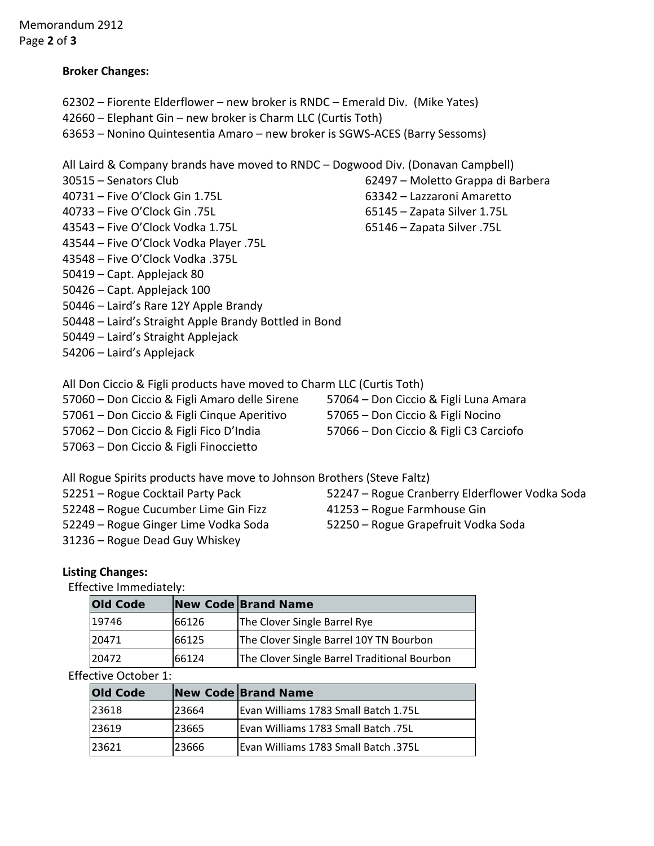## **Broker Changes:**

- Fiorente Elderflower new broker is RNDC Emerald Div. (Mike Yates)
- Elephant Gin new broker is Charm LLC (Curtis Toth)
- Nonino Quintesentia Amaro new broker is SGWS‐ACES (Barry Sessoms)

All Laird & Company brands have moved to RNDC – Dogwood Div. (Donavan Campbell)

- 
- Five O'Clock Gin 1.75L 63342 Lazzaroni Amaretto
- Five O'Clock Gin .75L 65145 Zapata Silver 1.75L
- Five O'Clock Vodka 1.75L 65146 Zapata Silver .75L
- Five O'Clock Vodka Player .75L
- Five O'Clock Vodka .375L
- Capt. Applejack 80
- Capt. Applejack 100
- Laird's Rare 12Y Apple Brandy
- Laird's Straight Apple Brandy Bottled in Bond
- Laird's Straight Applejack
- Laird's Applejack
- All Don Ciccio & Figli products have moved to Charm LLC (Curtis Toth)
- Don Ciccio & Figli Amaro delle Sirene 57064 Don Ciccio & Figli Luna Amara
- Don Ciccio & Figli Cinque Aperitivo 57065 Don Ciccio & Figli Nocino
- Don Ciccio & Figli Fico D'India 57066 Don Ciccio & Figli C3 Carciofo
- Don Ciccio & Figli Finoccietto
- 
- 

All Rogue Spirits products have move to Johnson Brothers (Steve Faltz)

- Rogue Cocktail Party Pack 52247 Rogue Cranberry Elderflower Vodka Soda
- Rogue Cucumber Lime Gin Fizz 41253 Rogue Farmhouse Gin
- Rogue Ginger Lime Vodka Soda 52250 Rogue Grapefruit Vodka Soda
- Rogue Dead Guy Whiskey

# **Listing Changes:**

Effective Immediately:

| <b>Old Code</b> |       | New Code Brand Name                          |
|-----------------|-------|----------------------------------------------|
| 19746           | 66126 | The Clover Single Barrel Rye                 |
| 20471           | 66125 | The Clover Single Barrel 10Y TN Bourbon      |
| 20472           | 66124 | The Clover Single Barrel Traditional Bourbon |

# **Effective October 1:**

| <b>Old Code</b> |       | New Code Brand Name                         |
|-----------------|-------|---------------------------------------------|
| 23618           | 23664 | Evan Williams 1783 Small Batch 1.75L        |
| 23619           | 23665 | <b>IEvan Williams 1783 Small Batch .75L</b> |
| 23621           | 23666 | <b>Evan Williams 1783 Small Batch .375L</b> |

- Senators Club 62497 Moletto Grappa di Barbera
	-
	-